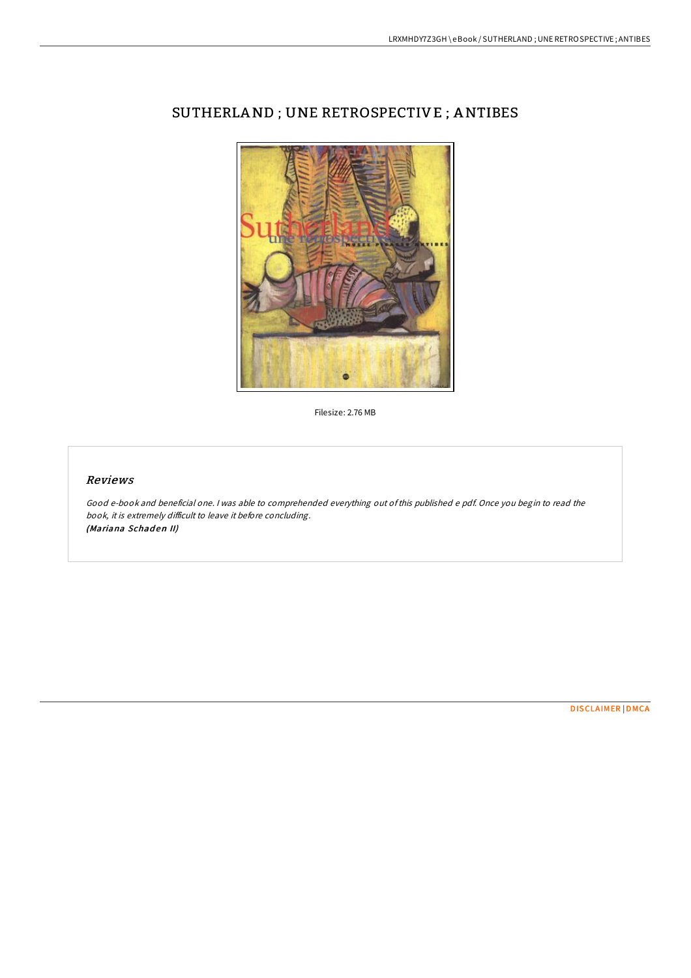

## SUTHERLAND ; UNE RETROSPECTIVE ; ANTIBES

Filesize: 2.76 MB

### Reviews

Good e-book and beneficial one. <sup>I</sup> was able to comprehended everything out ofthis published <sup>e</sup> pdf. Once you begin to read the book, it is extremely difficult to leave it before concluding. (Mariana Schaden II)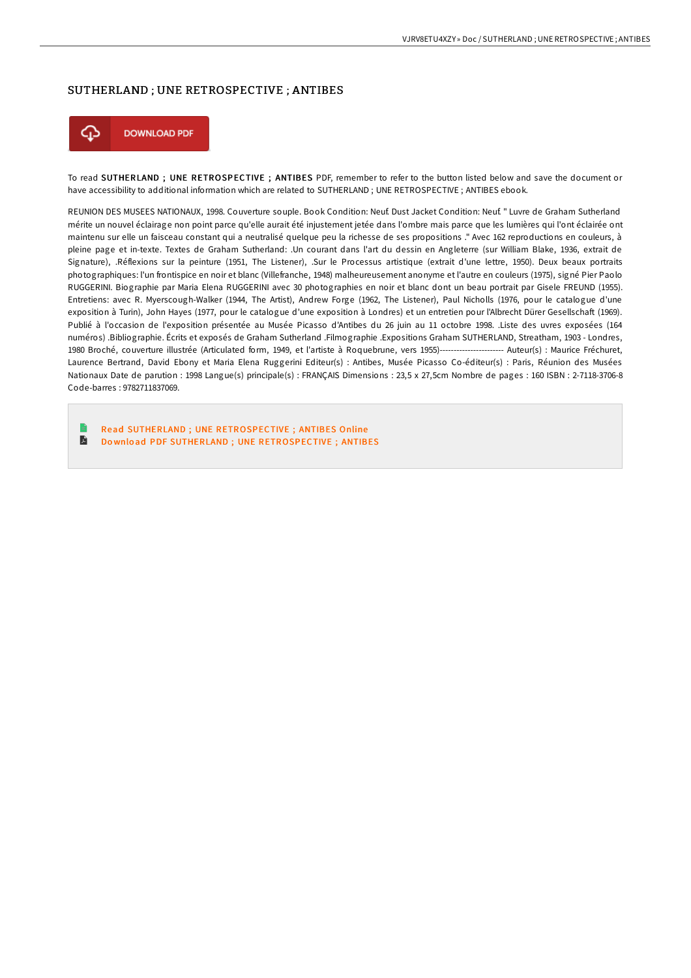#### SUTHERLAND ; UNE RETROSPECTIVE ; ANTIBES



To read SUTHERLAND ; UNE RETROSPECTIVE ; ANTIBES PDF, remember to refer to the button listed below and save the document or have accessibility to additional information which are related to SUTHERLAND ; UNE RETROSPECTIVE ; ANTIBES ebook.

REUNION DES MUSEES NATIONAUX, 1998. Couverture souple. Book Condition: Neuf. Dust Jacket Condition: Neuf. " Luvre de Graham Sutherland mérite un nouvel éclairage non point parce qu'elle aurait été injustement jetée dans l'ombre mais parce que les lumières qui l'ont éclairée ont maintenu sur elle un faisceau constant qui a neutralisé quelque peu la richesse de ses propositions ." Avec 162 reproductions en couleurs, à pleine page et in-texte. Textes de Graham Sutherland: .Un courant dans l'art du dessin en Angleterre (sur William Blake, 1936, extrait de Signature), .Réflexions sur la peinture (1951, The Listener), .Sur le Processus artistique (extrait d'une lettre, 1950). Deux beaux portraits photographiques: l'un frontispice en noir et blanc (Villefranche, 1948) malheureusement anonyme et l'autre en couleurs (1975), signé Pier Paolo RUGGERINI. Biographie par Maria Elena RUGGERINI avec 30 photographies en noir et blanc dont un beau portrait par Gisele FREUND (1955). Entretiens: avec R. Myerscough-Walker (1944, The Artist), Andrew Forge (1962, The Listener), Paul Nicholls (1976, pour le catalogue d'une exposition à Turin), John Hayes (1977, pour le catalogue d'une exposition à Londres) et un entretien pour l'Albrecht Dürer Gesellschaft (1969). Publié à l'occasion de l'exposition présentée au Musée Picasso d'Antibes du 26 juin au 11 octobre 1998. .Liste des uvres exposées (164 numéros) .Bibliographie. Écrits et exposés de Graham Sutherland .Filmographie .Expositions Graham SUTHERLAND, Streatham, 1903 - Londres, 1980 Broché, couverture illustrée (Articulated form, 1949, et l'artiste à Roquebrune, vers 1955)----------------------- Auteur(s) : Maurice Fréchuret, Laurence Bertrand, David Ebony et Maria Elena Ruggerini Editeur(s) : Antibes, Musée Picasso Co-éditeur(s) : Paris, Réunion des Musées Nationaux Date de parution : 1998 Langue(s) principale(s) : FRANÇAIS Dimensions : 23,5 x 27,5cm Nombre de pages : 160 ISBN : 2-7118-3706-8 Code-barres : 9782711837069.

Read SUTHERLAND ; UNE [RETROSPECTIVE](http://almighty24.tech/sutherland-une-retrospective-antibes.html) ; ANTIBES Online  $\blacksquare$ Do wnlo ad PDF SUTHERLAND ; UNE [RETROSPECTIVE](http://almighty24.tech/sutherland-une-retrospective-antibes.html) ; ANTIBES